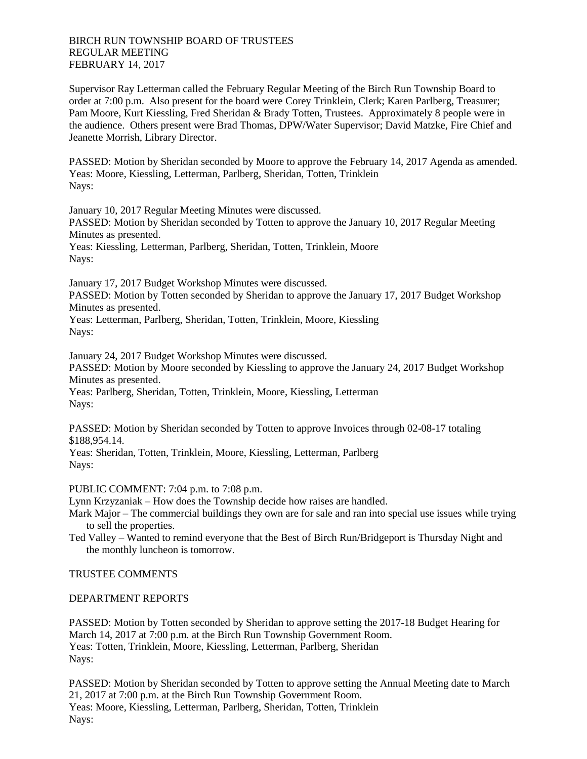## BIRCH RUN TOWNSHIP BOARD OF TRUSTEES REGULAR MEETING FEBRUARY 14, 2017

Supervisor Ray Letterman called the February Regular Meeting of the Birch Run Township Board to order at 7:00 p.m. Also present for the board were Corey Trinklein, Clerk; Karen Parlberg, Treasurer; Pam Moore, Kurt Kiessling, Fred Sheridan & Brady Totten, Trustees. Approximately 8 people were in the audience. Others present were Brad Thomas, DPW/Water Supervisor; David Matzke, Fire Chief and Jeanette Morrish, Library Director.

PASSED: Motion by Sheridan seconded by Moore to approve the February 14, 2017 Agenda as amended. Yeas: Moore, Kiessling, Letterman, Parlberg, Sheridan, Totten, Trinklein Nays:

January 10, 2017 Regular Meeting Minutes were discussed.

PASSED: Motion by Sheridan seconded by Totten to approve the January 10, 2017 Regular Meeting Minutes as presented.

Yeas: Kiessling, Letterman, Parlberg, Sheridan, Totten, Trinklein, Moore Nays:

January 17, 2017 Budget Workshop Minutes were discussed. PASSED: Motion by Totten seconded by Sheridan to approve the January 17, 2017 Budget Workshop Minutes as presented.

Yeas: Letterman, Parlberg, Sheridan, Totten, Trinklein, Moore, Kiessling Nays:

January 24, 2017 Budget Workshop Minutes were discussed. PASSED: Motion by Moore seconded by Kiessling to approve the January 24, 2017 Budget Workshop Minutes as presented. Yeas: Parlberg, Sheridan, Totten, Trinklein, Moore, Kiessling, Letterman Nays:

PASSED: Motion by Sheridan seconded by Totten to approve Invoices through 02-08-17 totaling \$188,954.14.

Yeas: Sheridan, Totten, Trinklein, Moore, Kiessling, Letterman, Parlberg Nays:

PUBLIC COMMENT: 7:04 p.m. to 7:08 p.m.

Lynn Krzyzaniak – How does the Township decide how raises are handled.

Mark Major – The commercial buildings they own are for sale and ran into special use issues while trying to sell the properties.

Ted Valley – Wanted to remind everyone that the Best of Birch Run/Bridgeport is Thursday Night and the monthly luncheon is tomorrow.

## TRUSTEE COMMENTS

## DEPARTMENT REPORTS

PASSED: Motion by Totten seconded by Sheridan to approve setting the 2017-18 Budget Hearing for March 14, 2017 at 7:00 p.m. at the Birch Run Township Government Room. Yeas: Totten, Trinklein, Moore, Kiessling, Letterman, Parlberg, Sheridan Nays:

PASSED: Motion by Sheridan seconded by Totten to approve setting the Annual Meeting date to March 21, 2017 at 7:00 p.m. at the Birch Run Township Government Room. Yeas: Moore, Kiessling, Letterman, Parlberg, Sheridan, Totten, Trinklein Nays: